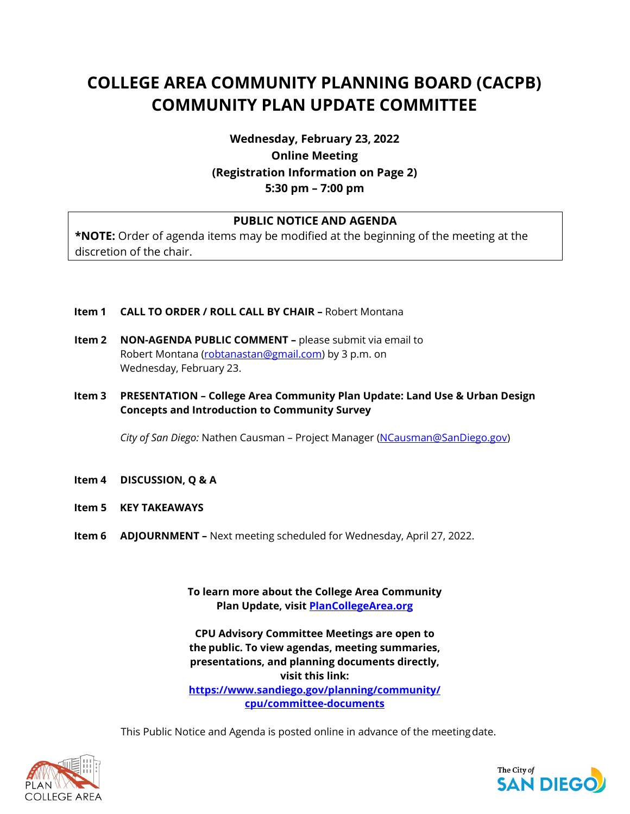# **COLLEGE AREA COMMUNITY PLANNING BOARD (CACPB) COMMUNITY PLAN UPDATE COMMITTEE**

**Wednesday, February 23, 2022 Online Meeting (Registration Information on Page 2) 5:30 pm – 7:00 pm**

## **PUBLIC NOTICE AND AGENDA**

**\*NOTE:** Order of agenda items may be modified at the beginning of the meeting at the discretion of the chair.

- **Item 1 CALL TO ORDER / ROLL CALL BY CHAIR –** Robert Montana
- **Item 2 NON-AGENDA PUBLIC COMMENT –** please submit via email to Robert Montana [\(robtanastan@gmail.com\)](mailto:robtanastan@gmail.com) by 3 p.m. on Wednesday, February 23.
- **Item 3 PRESENTATION – College Area Community Plan Update: Land Use & Urban Design Concepts and Introduction to Community Survey**

*City of San Diego:* Nathen Causman – Project Manager [\(NCausman@SanDiego.gov\)](mailto:NCausman@SanDiego.gov)

- **Item 4 DISCUSSION, Q & A**
- **Item 5 KEY TAKEAWAYS**
- **Item 6 ADJOURNMENT –** Next meeting scheduled for Wednesday, April 27, 2022.

**To learn more about the College Area Community Plan Update, visit PlanCollegeArea.org**

**CPU Advisory Committee Meetings are open to the public. To view agendas, meeting summaries, presentations, and planning documents directly, visit this link: [https://www.sandiego.gov/planning/community/](https://www.sandiego.gov/planning/community/cpu/committee-documents) [cpu/committee-documents](https://www.sandiego.gov/planning/community/cpu/committee-documents)**

This Public Notice and Agenda is posted online in advance of the meetingdate.